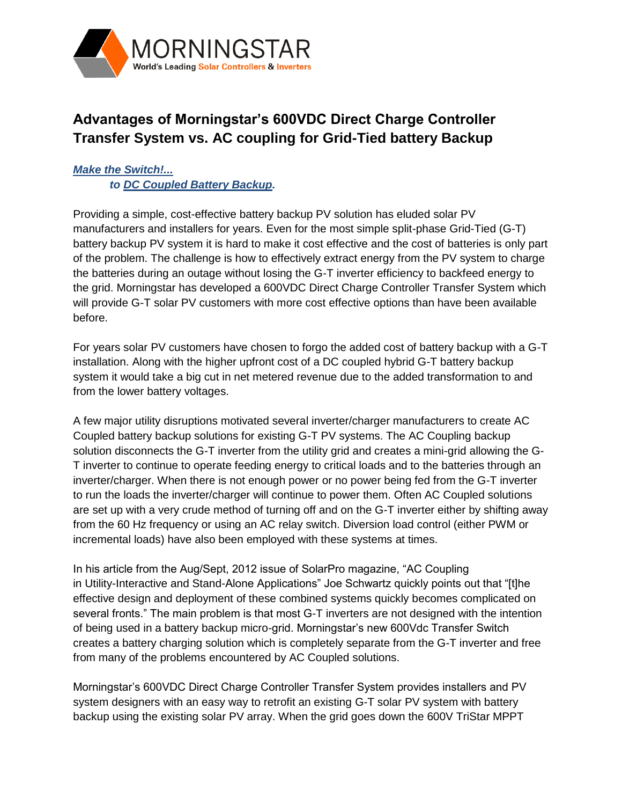

# **Advantages of Morningstar's 600VDC Direct Charge Controller Transfer System vs. AC coupling for Grid-Tied battery Backup**

# *Make the Switch!... to DC Coupled Battery Backup.*

Providing a simple, cost-effective battery backup PV solution has eluded solar PV manufacturers and installers for years. Even for the most simple split-phase Grid-Tied (G-T) battery backup PV system it is hard to make it cost effective and the cost of batteries is only part of the problem. The challenge is how to effectively extract energy from the PV system to charge the batteries during an outage without losing the G-T inverter efficiency to backfeed energy to the grid. Morningstar has developed a 600VDC Direct Charge Controller Transfer System which will provide G-T solar PV customers with more cost effective options than have been available before.

For years solar PV customers have chosen to forgo the added cost of battery backup with a G-T installation. Along with the higher upfront cost of a DC coupled hybrid G-T battery backup system it would take a big cut in net metered revenue due to the added transformation to and from the lower battery voltages.

A few major utility disruptions motivated several inverter/charger manufacturers to create AC Coupled battery backup solutions for existing G-T PV systems. The AC Coupling backup solution disconnects the G-T inverter from the utility grid and creates a mini-grid allowing the G-T inverter to continue to operate feeding energy to critical loads and to the batteries through an inverter/charger. When there is not enough power or no power being fed from the G-T inverter to run the loads the inverter/charger will continue to power them. Often AC Coupled solutions are set up with a very crude method of turning off and on the G-T inverter either by shifting away from the 60 Hz frequency or using an AC relay switch. Diversion load control (either PWM or incremental loads) have also been employed with these systems at times.

In his article from the Aug/Sept, 2012 issue of SolarPro magazine, "AC Coupling in Utility-Interactive and Stand-Alone Applications" Joe Schwartz quickly points out that "[t]he effective design and deployment of these combined systems quickly becomes complicated on several fronts." The main problem is that most G-T inverters are not designed with the intention of being used in a battery backup micro-grid. Morningstar's new 600Vdc Transfer Switch creates a battery charging solution which is completely separate from the G-T inverter and free from many of the problems encountered by AC Coupled solutions.

Morningstar's 600VDC Direct Charge Controller Transfer System provides installers and PV system designers with an easy way to retrofit an existing G-T solar PV system with battery backup using the existing solar PV array. When the grid goes down the 600V TriStar MPPT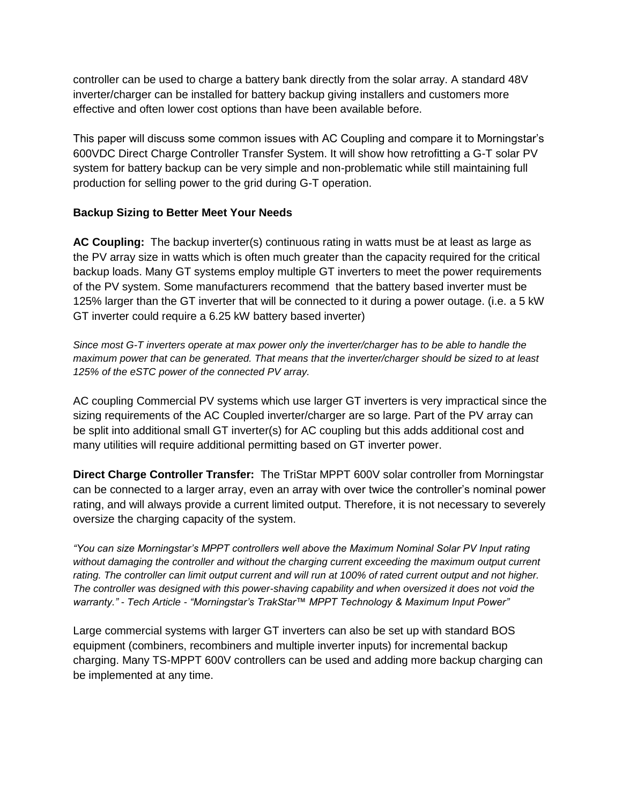controller can be used to charge a battery bank directly from the solar array. A standard 48V inverter/charger can be installed for battery backup giving installers and customers more effective and often lower cost options than have been available before.

This paper will discuss some common issues with AC Coupling and compare it to Morningstar's 600VDC Direct Charge Controller Transfer System. It will show how retrofitting a G-T solar PV system for battery backup can be very simple and non-problematic while still maintaining full production for selling power to the grid during G-T operation.

## **Backup Sizing to Better Meet Your Needs**

**AC Coupling:** The backup inverter(s) continuous rating in watts must be at least as large as the PV array size in watts which is often much greater than the capacity required for the critical backup loads. Many GT systems employ multiple GT inverters to meet the power requirements of the PV system. Some manufacturers recommend that the battery based inverter must be 125% larger than the GT inverter that will be connected to it during a power outage. (i.e. a 5 kW GT inverter could require a 6.25 kW battery based inverter)

*Since most G-T inverters operate at max power only the inverter/charger has to be able to handle the maximum power that can be generated. That means that the inverter/charger should be sized to at least 125% of the eSTC power of the connected PV array.*

AC coupling Commercial PV systems which use larger GT inverters is very impractical since the sizing requirements of the AC Coupled inverter/charger are so large. Part of the PV array can be split into additional small GT inverter(s) for AC coupling but this adds additional cost and many utilities will require additional permitting based on GT inverter power.

**Direct Charge Controller Transfer:** The TriStar MPPT 600V solar controller from Morningstar can be connected to a larger array, even an array with over twice the controller's nominal power rating, and will always provide a current limited output. Therefore, it is not necessary to severely oversize the charging capacity of the system.

*"You can size Morningstar's MPPT controllers well above the Maximum Nominal Solar PV Input rating without damaging the controller and without the charging current exceeding the maximum output current*  rating. The controller can limit output current and will run at 100% of rated current output and not higher. *The controller was designed with this power-shaving capability and when oversized it does not void the warranty." - Tech Article - "Morningstar's TrakStar™ MPPT Technology & Maximum Input Power"* 

Large commercial systems with larger GT inverters can also be set up with standard BOS equipment (combiners, recombiners and multiple inverter inputs) for incremental backup charging. Many TS-MPPT 600V controllers can be used and adding more backup charging can be implemented at any time.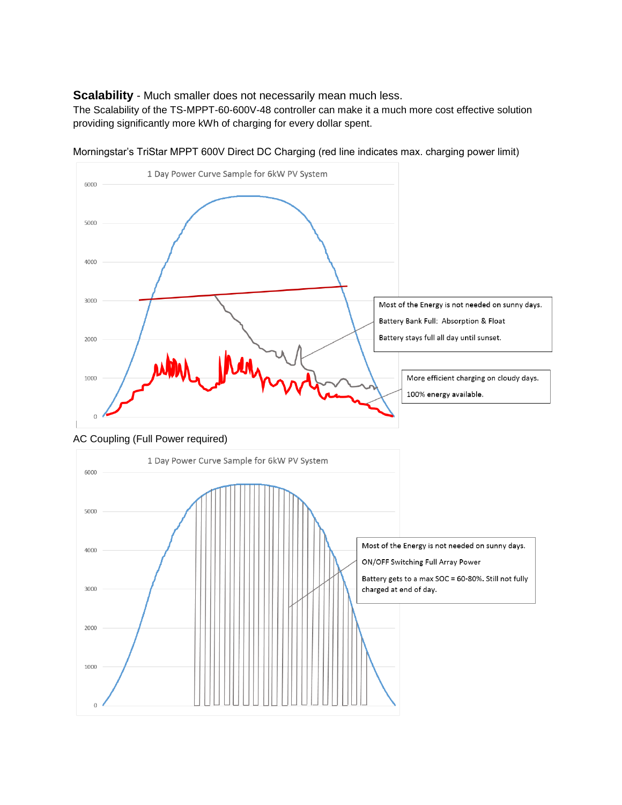**Scalability** - Much smaller does not necessarily mean much less.

The Scalability of the TS-MPPT-60-600V-48 controller can make it a much more cost effective solution providing significantly more kWh of charging for every dollar spent.



Morningstar's TriStar MPPT 600V Direct DC Charging (red line indicates max. charging power limit)

AC Coupling (Full Power required)

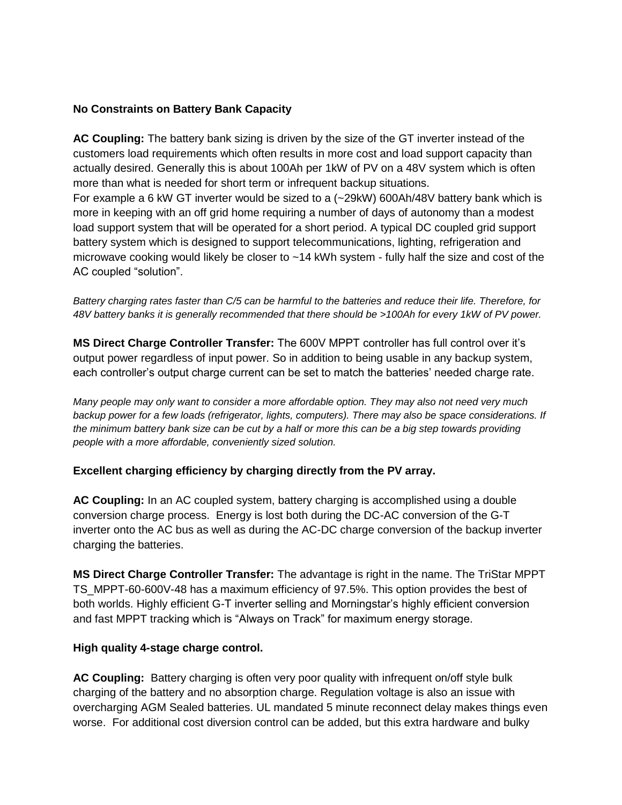## **No Constraints on Battery Bank Capacity**

**AC Coupling:** The battery bank sizing is driven by the size of the GT inverter instead of the customers load requirements which often results in more cost and load support capacity than actually desired. Generally this is about 100Ah per 1kW of PV on a 48V system which is often more than what is needed for short term or infrequent backup situations. For example a 6 kW GT inverter would be sized to a (~29kW) 600Ah/48V battery bank which is more in keeping with an off grid home requiring a number of days of autonomy than a modest load support system that will be operated for a short period. A typical DC coupled grid support battery system which is designed to support telecommunications, lighting, refrigeration and microwave cooking would likely be closer to ~14 kWh system - fully half the size and cost of the AC coupled "solution".

*Battery charging rates faster than C/5 can be harmful to the batteries and reduce their life. Therefore, for 48V battery banks it is generally recommended that there should be >100Ah for every 1kW of PV power.* 

**MS Direct Charge Controller Transfer:** The 600V MPPT controller has full control over it's output power regardless of input power. So in addition to being usable in any backup system, each controller's output charge current can be set to match the batteries' needed charge rate.

*Many people may only want to consider a more affordable option. They may also not need very much backup power for a few loads (refrigerator, lights, computers). There may also be space considerations. If the minimum battery bank size can be cut by a half or more this can be a big step towards providing people with a more affordable, conveniently sized solution.* 

## **Excellent charging efficiency by charging directly from the PV array.**

**AC Coupling:** In an AC coupled system, battery charging is accomplished using a double conversion charge process. Energy is lost both during the DC-AC conversion of the G-T inverter onto the AC bus as well as during the AC-DC charge conversion of the backup inverter charging the batteries.

**MS Direct Charge Controller Transfer:** The advantage is right in the name. The TriStar MPPT TS\_MPPT-60-600V-48 has a maximum efficiency of 97.5%. This option provides the best of both worlds. Highly efficient G-T inverter selling and Morningstar's highly efficient conversion and fast MPPT tracking which is "Always on Track" for maximum energy storage.

## **High quality 4-stage charge control.**

**AC Coupling:** Battery charging is often very poor quality with infrequent on/off style bulk charging of the battery and no absorption charge. Regulation voltage is also an issue with overcharging AGM Sealed batteries. UL mandated 5 minute reconnect delay makes things even worse. For additional cost diversion control can be added, but this extra hardware and bulky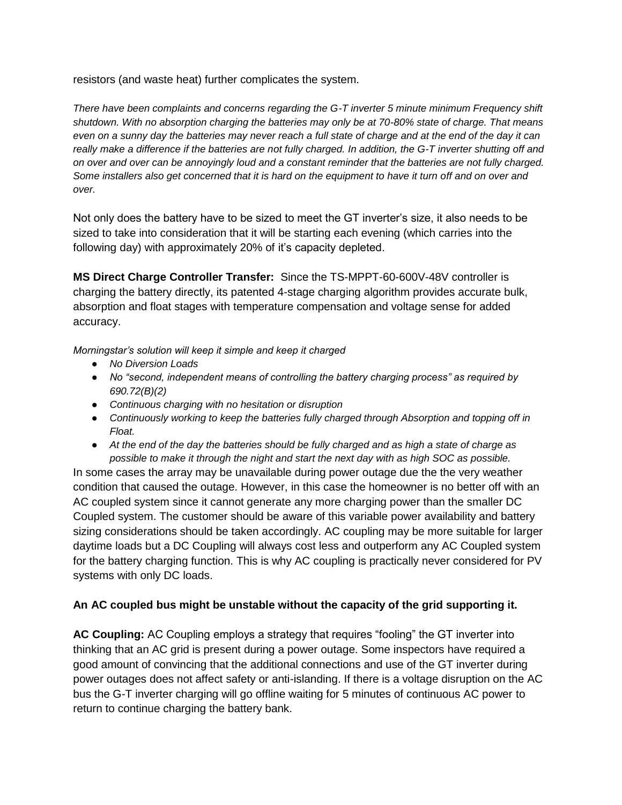resistors (and waste heat) further complicates the system.

*There have been complaints and concerns regarding the G-T inverter 5 minute minimum Frequency shift shutdown. With no absorption charging the batteries may only be at 70-80% state of charge. That means even on a sunny day the batteries may never reach a full state of charge and at the end of the day it can really make a difference if the batteries are not fully charged. In addition, the G-T inverter shutting off and on over and over can be annoyingly loud and a constant reminder that the batteries are not fully charged. Some installers also get concerned that it is hard on the equipment to have it turn off and on over and over.*

Not only does the battery have to be sized to meet the GT inverter's size, it also needs to be sized to take into consideration that it will be starting each evening (which carries into the following day) with approximately 20% of it's capacity depleted.

**MS Direct Charge Controller Transfer:** Since the TS-MPPT-60-600V-48V controller is charging the battery directly, its patented 4-stage charging algorithm provides accurate bulk, absorption and float stages with temperature compensation and voltage sense for added accuracy.

*Morningstar's solution will keep it simple and keep it charged*

- *No Diversion Loads*
- *No "second, independent means of controlling the battery charging process" as required by 690.72(B)(2)*
- *Continuous charging with no hesitation or disruption*
- *Continuously working to keep the batteries fully charged through Absorption and topping off in Float.*
- *At the end of the day the batteries should be fully charged and as high a state of charge as possible to make it through the night and start the next day with as high SOC as possible.*

In some cases the array may be unavailable during power outage due the the very weather condition that caused the outage. However, in this case the homeowner is no better off with an AC coupled system since it cannot generate any more charging power than the smaller DC Coupled system. The customer should be aware of this variable power availability and battery sizing considerations should be taken accordingly. AC coupling may be more suitable for larger daytime loads but a DC Coupling will always cost less and outperform any AC Coupled system for the battery charging function. This is why AC coupling is practically never considered for PV systems with only DC loads.

## **An AC coupled bus might be unstable without the capacity of the grid supporting it.**

**AC Coupling:** AC Coupling employs a strategy that requires "fooling" the GT inverter into thinking that an AC grid is present during a power outage. Some inspectors have required a good amount of convincing that the additional connections and use of the GT inverter during power outages does not affect safety or anti-islanding. If there is a voltage disruption on the AC bus the G-T inverter charging will go offline waiting for 5 minutes of continuous AC power to return to continue charging the battery bank.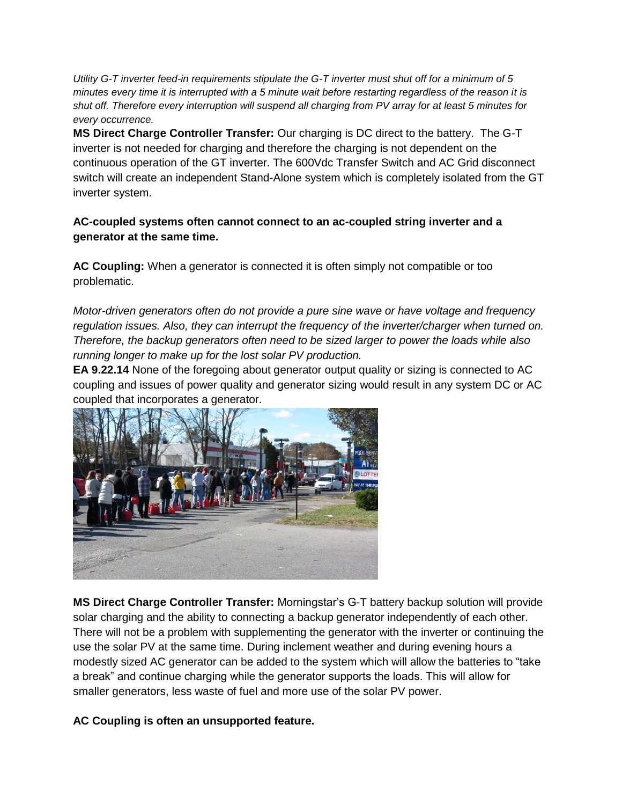*Utility G-T inverter feed-in requirements stipulate the G-T inverter must shut off for a minimum of 5 minutes every time it is interrupted with a 5 minute wait before restarting regardless of the reason it is shut off. Therefore every interruption will suspend all charging from PV array for at least 5 minutes for every occurrence.* 

**MS Direct Charge Controller Transfer:** Our charging is DC direct to the battery. The G-T inverter is not needed for charging and therefore the charging is not dependent on the continuous operation of the GT inverter. The 600Vdc Transfer Switch and AC Grid disconnect switch will create an independent Stand-Alone system which is completely isolated from the GT inverter system.

## **AC-coupled systems often cannot connect to an ac-coupled string inverter and a generator at the same time.**

**AC Coupling:** When a generator is connected it is often simply not compatible or too problematic.

*Motor-driven generators often do not provide a pure sine wave or have voltage and frequency regulation issues. Also, they can interrupt the frequency of the inverter/charger when turned on. Therefore, the backup generators often need to be sized larger to power the loads while also running longer to make up for the lost solar PV production.* 

**EA 9.22.14** None of the foregoing about generator output quality or sizing is connected to AC coupling and issues of power quality and generator sizing would result in any system DC or AC coupled that incorporates a generator.



**MS Direct Charge Controller Transfer:** Morningstar's G-T battery backup solution will provide solar charging and the ability to connecting a backup generator independently of each other. There will not be a problem with supplementing the generator with the inverter or continuing the use the solar PV at the same time. During inclement weather and during evening hours a modestly sized AC generator can be added to the system which will allow the batteries to "take a break" and continue charging while the generator supports the loads. This will allow for smaller generators, less waste of fuel and more use of the solar PV power.

## **AC Coupling is often an unsupported feature.**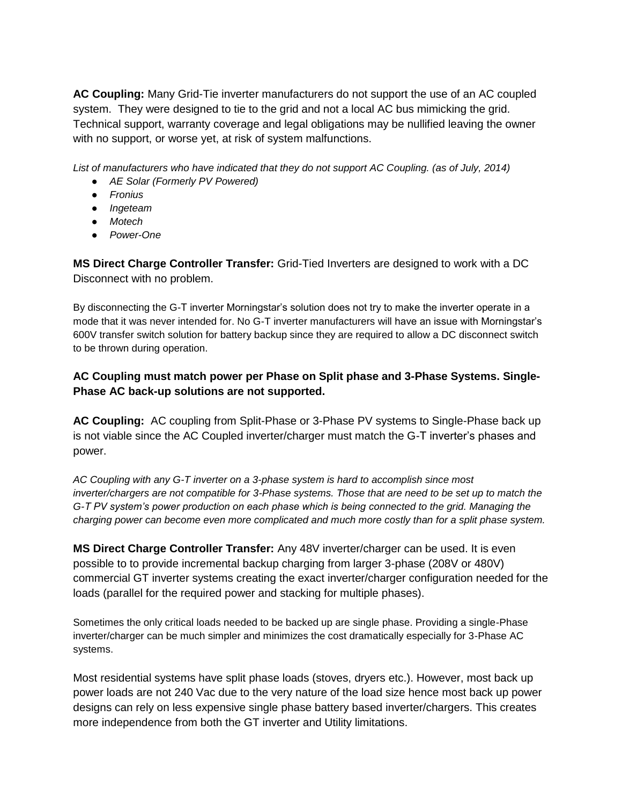**AC Coupling:** Many Grid-Tie inverter manufacturers do not support the use of an AC coupled system. They were designed to tie to the grid and not a local AC bus mimicking the grid. Technical support, warranty coverage and legal obligations may be nullified leaving the owner with no support, or worse yet, at risk of system malfunctions.

*List of manufacturers who have indicated that they do not support AC Coupling. (as of July, 2014)*

- *AE Solar (Formerly PV Powered)*
- *Fronius*
- *Ingeteam*
- *Motech*
- *Power-One*

**MS Direct Charge Controller Transfer:** Grid-Tied Inverters are designed to work with a DC Disconnect with no problem.

By disconnecting the G-T inverter Morningstar's solution does not try to make the inverter operate in a mode that it was never intended for. No G-T inverter manufacturers will have an issue with Morningstar's 600V transfer switch solution for battery backup since they are required to allow a DC disconnect switch to be thrown during operation.

# **AC Coupling must match power per Phase on Split phase and 3-Phase Systems. Single-Phase AC back-up solutions are not supported.**

**AC Coupling:** AC coupling from Split-Phase or 3-Phase PV systems to Single-Phase back up is not viable since the AC Coupled inverter/charger must match the G-T inverter's phases and power.

*AC Coupling with any G-T inverter on a 3-phase system is hard to accomplish since most inverter/chargers are not compatible for 3-Phase systems. Those that are need to be set up to match the G-T PV system's power production on each phase which is being connected to the grid. Managing the charging power can become even more complicated and much more costly than for a split phase system.* 

**MS Direct Charge Controller Transfer:** Any 48V inverter/charger can be used. It is even possible to to provide incremental backup charging from larger 3-phase (208V or 480V) commercial GT inverter systems creating the exact inverter/charger configuration needed for the loads (parallel for the required power and stacking for multiple phases).

Sometimes the only critical loads needed to be backed up are single phase. Providing a single-Phase inverter/charger can be much simpler and minimizes the cost dramatically especially for 3-Phase AC systems.

Most residential systems have split phase loads (stoves, dryers etc.). However, most back up power loads are not 240 Vac due to the very nature of the load size hence most back up power designs can rely on less expensive single phase battery based inverter/chargers. This creates more independence from both the GT inverter and Utility limitations.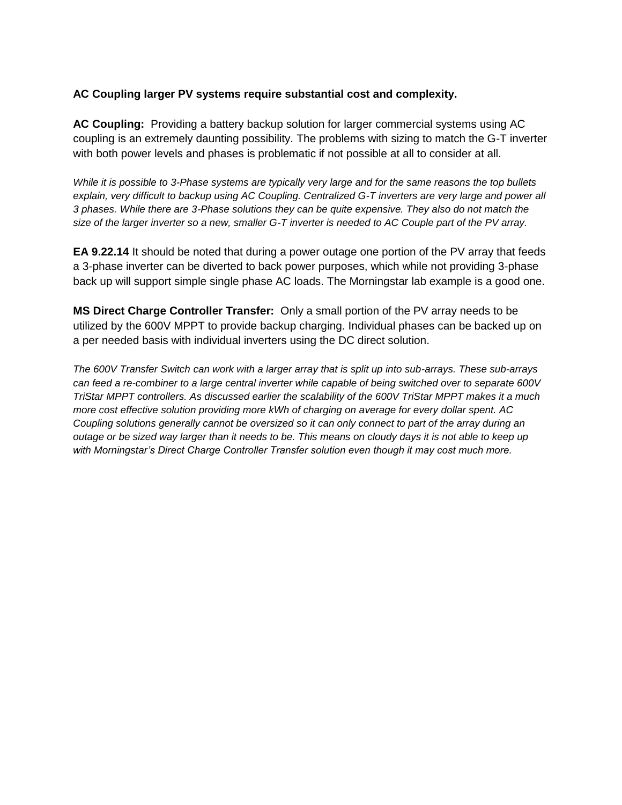## **AC Coupling larger PV systems require substantial cost and complexity.**

**AC Coupling:** Providing a battery backup solution for larger commercial systems using AC coupling is an extremely daunting possibility. The problems with sizing to match the G-T inverter with both power levels and phases is problematic if not possible at all to consider at all.

*While it is possible to 3-Phase systems are typically very large and for the same reasons the top bullets*  explain, very difficult to backup using AC Coupling. Centralized G-T inverters are very large and power all *3 phases. While there are 3-Phase solutions they can be quite expensive. They also do not match the size of the larger inverter so a new, smaller G-T inverter is needed to AC Couple part of the PV array.* 

**EA 9.22.14** It should be noted that during a power outage one portion of the PV array that feeds a 3-phase inverter can be diverted to back power purposes, which while not providing 3-phase back up will support simple single phase AC loads. The Morningstar lab example is a good one.

**MS Direct Charge Controller Transfer:** Only a small portion of the PV array needs to be utilized by the 600V MPPT to provide backup charging. Individual phases can be backed up on a per needed basis with individual inverters using the DC direct solution.

*The 600V Transfer Switch can work with a larger array that is split up into sub-arrays. These sub-arrays can feed a re-combiner to a large central inverter while capable of being switched over to separate 600V TriStar MPPT controllers. As discussed earlier the scalability of the 600V TriStar MPPT makes it a much more cost effective solution providing more kWh of charging on average for every dollar spent. AC Coupling solutions generally cannot be oversized so it can only connect to part of the array during an outage or be sized way larger than it needs to be. This means on cloudy days it is not able to keep up with Morningstar's Direct Charge Controller Transfer solution even though it may cost much more.*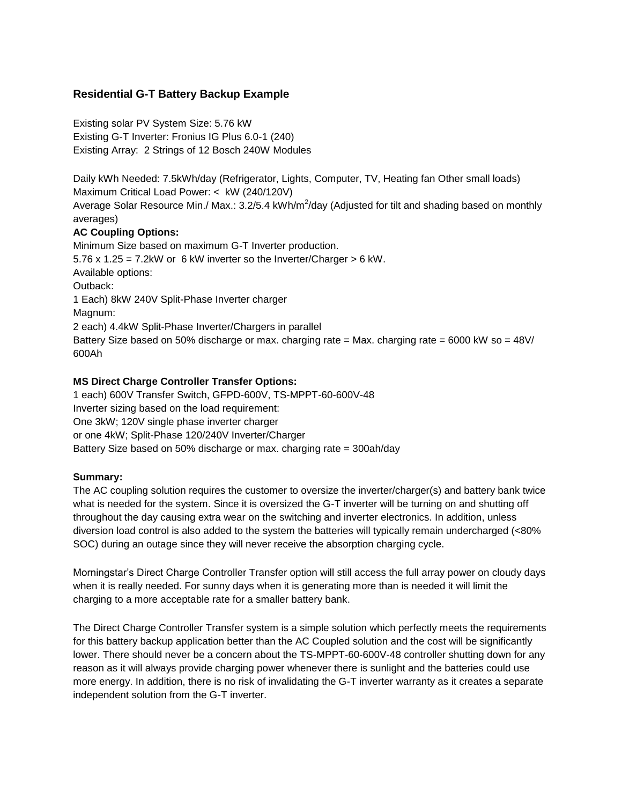## **Residential G-T Battery Backup Example**

Existing solar PV System Size: 5.76 kW Existing G-T Inverter: Fronius IG Plus 6.0-1 (240) Existing Array: 2 Strings of 12 Bosch 240W Modules

Daily kWh Needed: 7.5kWh/day (Refrigerator, Lights, Computer, TV, Heating fan Other small loads) Maximum Critical Load Power: < kW (240/120V) Average Solar Resource Min./ Max.: 3.2/5.4 kWh/m<sup>2</sup>/day (Adjusted for tilt and shading based on monthly averages) **AC Coupling Options:**  Minimum Size based on maximum G-T Inverter production. 5.76 x 1.25 = 7.2kW or 6 kW inverter so the Inverter/Charger > 6 kW. Available options: Outback: 1 Each) 8kW 240V Split-Phase Inverter charger Magnum:

2 each) 4.4kW Split-Phase Inverter/Chargers in parallel

Battery Size based on 50% discharge or max. charging rate = Max. charging rate = 6000 kW so =  $48$ V/ 600Ah

#### **MS Direct Charge Controller Transfer Options:**

1 each) 600V Transfer Switch, GFPD-600V, TS-MPPT-60-600V-48 Inverter sizing based on the load requirement: One 3kW; 120V single phase inverter charger or one 4kW; Split-Phase 120/240V Inverter/Charger Battery Size based on 50% discharge or max. charging rate = 300ah/day

#### **Summary:**

The AC coupling solution requires the customer to oversize the inverter/charger(s) and battery bank twice what is needed for the system. Since it is oversized the G-T inverter will be turning on and shutting off throughout the day causing extra wear on the switching and inverter electronics. In addition, unless diversion load control is also added to the system the batteries will typically remain undercharged (<80% SOC) during an outage since they will never receive the absorption charging cycle.

Morningstar's Direct Charge Controller Transfer option will still access the full array power on cloudy days when it is really needed. For sunny days when it is generating more than is needed it will limit the charging to a more acceptable rate for a smaller battery bank.

The Direct Charge Controller Transfer system is a simple solution which perfectly meets the requirements for this battery backup application better than the AC Coupled solution and the cost will be significantly lower. There should never be a concern about the TS-MPPT-60-600V-48 controller shutting down for any reason as it will always provide charging power whenever there is sunlight and the batteries could use more energy. In addition, there is no risk of invalidating the G-T inverter warranty as it creates a separate independent solution from the G-T inverter.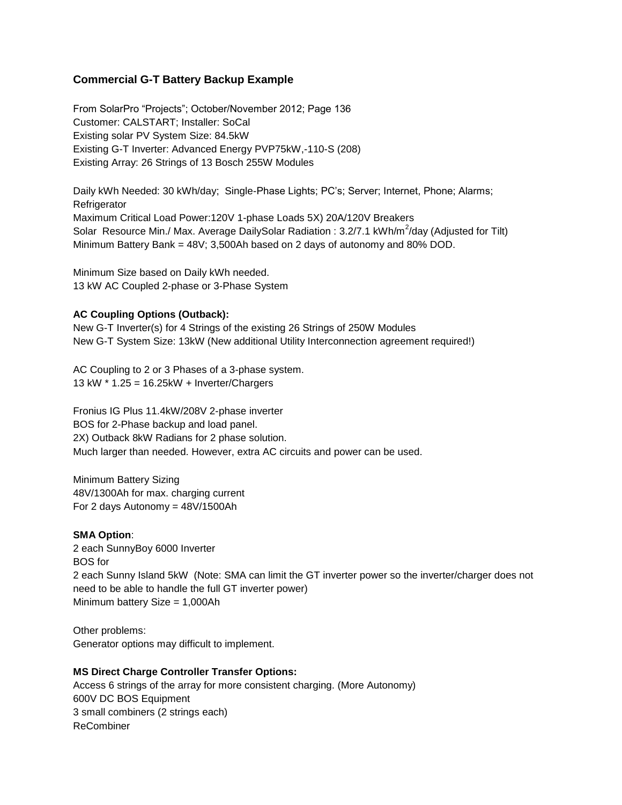## **Commercial G-T Battery Backup Example**

From SolarPro "Projects"; October/November 2012; Page 136 Customer: CALSTART; Installer: SoCal Existing solar PV System Size: 84.5kW Existing G-T Inverter: Advanced Energy PVP75kW,-110-S (208) Existing Array: 26 Strings of 13 Bosch 255W Modules

Daily kWh Needed: 30 kWh/day; Single-Phase Lights; PC's; Server; Internet, Phone; Alarms; **Refrigerator** Maximum Critical Load Power:120V 1-phase Loads 5X) 20A/120V Breakers Solar Resource Min./ Max. Average DailySolar Radiation: 3.2/7.1 kWh/m<sup>2</sup>/day (Adjusted for Tilt) Minimum Battery Bank = 48V; 3,500Ah based on 2 days of autonomy and 80% DOD.

Minimum Size based on Daily kWh needed. 13 kW AC Coupled 2-phase or 3-Phase System

#### **AC Coupling Options (Outback):**

New G-T Inverter(s) for 4 Strings of the existing 26 Strings of 250W Modules New G-T System Size: 13kW (New additional Utility Interconnection agreement required!)

AC Coupling to 2 or 3 Phases of a 3-phase system. 13 kW \* 1.25 = 16.25kW + Inverter/Chargers

Fronius IG Plus 11.4kW/208V 2-phase inverter BOS for 2-Phase backup and load panel. 2X) Outback 8kW Radians for 2 phase solution. Much larger than needed. However, extra AC circuits and power can be used.

Minimum Battery Sizing 48V/1300Ah for max. charging current For 2 days Autonomy = 48V/1500Ah

#### **SMA Option**:

2 each SunnyBoy 6000 Inverter BOS for 2 each Sunny Island 5kW (Note: SMA can limit the GT inverter power so the inverter/charger does not need to be able to handle the full GT inverter power) Minimum battery Size = 1,000Ah

Other problems: Generator options may difficult to implement.

#### **MS Direct Charge Controller Transfer Options:**

Access 6 strings of the array for more consistent charging. (More Autonomy) 600V DC BOS Equipment 3 small combiners (2 strings each) ReCombiner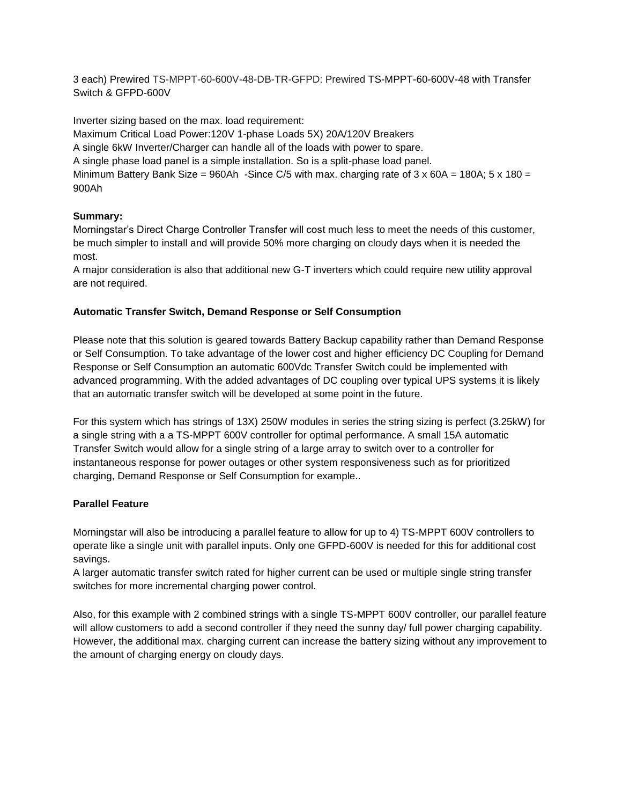3 each) Prewired TS-MPPT-60-600V-48-DB-TR-GFPD: Prewired TS-MPPT-60-600V-48 with Transfer Switch & GFPD-600V

Inverter sizing based on the max. load requirement:

Maximum Critical Load Power:120V 1-phase Loads 5X) 20A/120V Breakers

A single 6kW Inverter/Charger can handle all of the loads with power to spare.

A single phase load panel is a simple installation. So is a split-phase load panel.

Minimum Battery Bank Size = 960Ah -Since C/5 with max. charging rate of  $3 \times 60$ A = 180A;  $5 \times 180 =$ 900Ah

#### **Summary:**

Morningstar's Direct Charge Controller Transfer will cost much less to meet the needs of this customer, be much simpler to install and will provide 50% more charging on cloudy days when it is needed the most.

A major consideration is also that additional new G-T inverters which could require new utility approval are not required.

#### **Automatic Transfer Switch, Demand Response or Self Consumption**

Please note that this solution is geared towards Battery Backup capability rather than Demand Response or Self Consumption. To take advantage of the lower cost and higher efficiency DC Coupling for Demand Response or Self Consumption an automatic 600Vdc Transfer Switch could be implemented with advanced programming. With the added advantages of DC coupling over typical UPS systems it is likely that an automatic transfer switch will be developed at some point in the future.

For this system which has strings of 13X) 250W modules in series the string sizing is perfect (3.25kW) for a single string with a a TS-MPPT 600V controller for optimal performance. A small 15A automatic Transfer Switch would allow for a single string of a large array to switch over to a controller for instantaneous response for power outages or other system responsiveness such as for prioritized charging, Demand Response or Self Consumption for example..

#### **Parallel Feature**

Morningstar will also be introducing a parallel feature to allow for up to 4) TS-MPPT 600V controllers to operate like a single unit with parallel inputs. Only one GFPD-600V is needed for this for additional cost savings.

A larger automatic transfer switch rated for higher current can be used or multiple single string transfer switches for more incremental charging power control.

Also, for this example with 2 combined strings with a single TS-MPPT 600V controller, our parallel feature will allow customers to add a second controller if they need the sunny day/ full power charging capability. However, the additional max. charging current can increase the battery sizing without any improvement to the amount of charging energy on cloudy days.